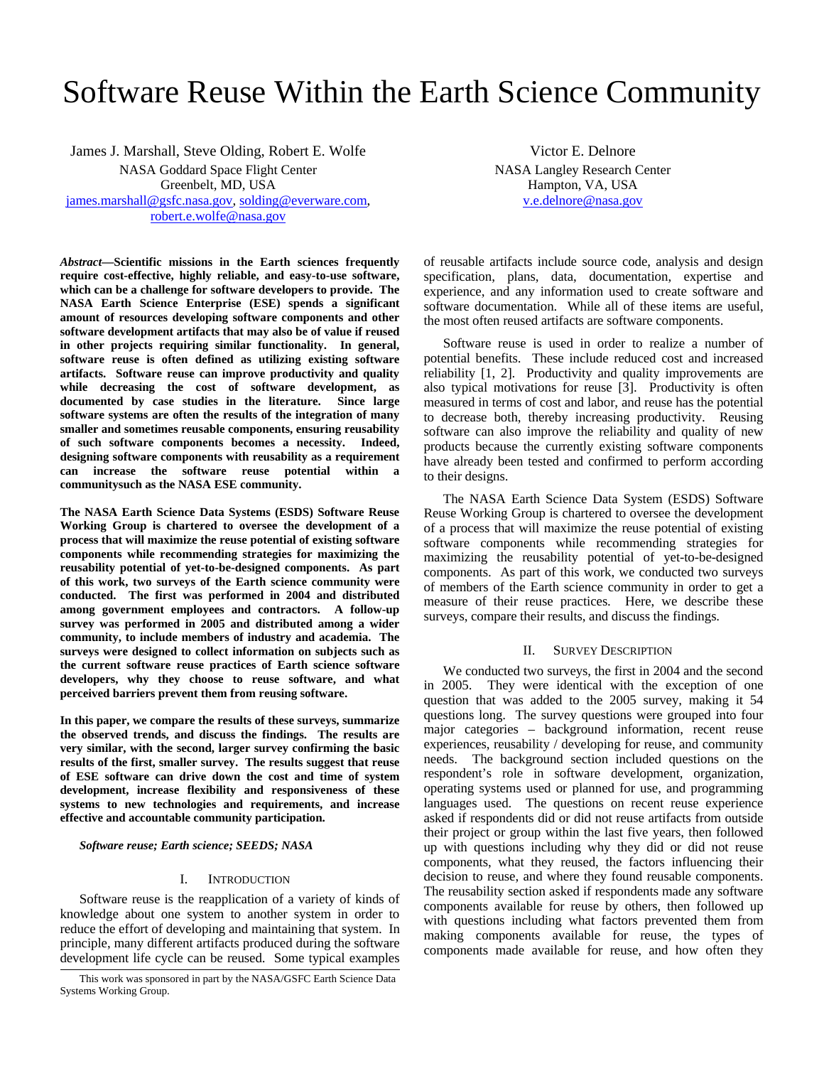# Software Reuse Within the Earth Science Community

James J. Marshall, Steve Olding, Robert E. Wolfe NASA Goddard Space Flight Center Greenbelt, MD, USA james.marshall@gsfc.nasa.gov, solding@everware.com, robert.e.wolfe@nasa.gov

*Abstract***—Scientific missions in the Earth sciences frequently require cost-effective, highly reliable, and easy-to-use software, which can be a challenge for software developers to provide. The NASA Earth Science Enterprise (ESE) spends a significant amount of resources developing software components and other software development artifacts that may also be of value if reused in other projects requiring similar functionality. In general, software reuse is often defined as utilizing existing software artifacts. Software reuse can improve productivity and quality while decreasing the cost of software development, as documented by case studies in the literature. Since large software systems are often the results of the integration of many smaller and sometimes reusable components, ensuring reusability of such software components becomes a necessity. Indeed, designing software components with reusability as a requirement can increase the software reuse potential within a communitysuch as the NASA ESE community.** 

**The NASA Earth Science Data Systems (ESDS) Software Reuse Working Group is chartered to oversee the development of a process that will maximize the reuse potential of existing software components while recommending strategies for maximizing the reusability potential of yet-to-be-designed components. As part of this work, two surveys of the Earth science community were conducted. The first was performed in 2004 and distributed among government employees and contractors. A follow-up survey was performed in 2005 and distributed among a wider community, to include members of industry and academia. The surveys were designed to collect information on subjects such as the current software reuse practices of Earth science software developers, why they choose to reuse software, and what perceived barriers prevent them from reusing software.** 

**In this paper, we compare the results of these surveys, summarize the observed trends, and discuss the findings. The results are very similar, with the second, larger survey confirming the basic results of the first, smaller survey. The results suggest that reuse of ESE software can drive down the cost and time of system development, increase flexibility and responsiveness of these systems to new technologies and requirements, and increase effective and accountable community participation.** 

#### *Software reuse; Earth science; SEEDS; NASA*

#### I. INTRODUCTION

Software reuse is the reapplication of a variety of kinds of knowledge about one system to another system in order to reduce the effort of developing and maintaining that system. In principle, many different artifacts produced during the software development life cycle can be reused. Some typical examples

Victor E. Delnore NASA Langley Research Center Hampton, VA, USA v.e.delnore@nasa.gov

of reusable artifacts include source code, analysis and design specification, plans, data, documentation, expertise and experience, and any information used to create software and software documentation. While all of these items are useful, the most often reused artifacts are software components.

Software reuse is used in order to realize a number of potential benefits. These include reduced cost and increased reliability [1, 2]. Productivity and quality improvements are also typical motivations for reuse [3]. Productivity is often measured in terms of cost and labor, and reuse has the potential to decrease both, thereby increasing productivity. Reusing software can also improve the reliability and quality of new products because the currently existing software components have already been tested and confirmed to perform according to their designs.

The NASA Earth Science Data System (ESDS) Software Reuse Working Group is chartered to oversee the development of a process that will maximize the reuse potential of existing software components while recommending strategies for maximizing the reusability potential of yet-to-be-designed components. As part of this work, we conducted two surveys of members of the Earth science community in order to get a measure of their reuse practices. Here, we describe these surveys, compare their results, and discuss the findings.

#### II. SURVEY DESCRIPTION

We conducted two surveys, the first in 2004 and the second in 2005. They were identical with the exception of one question that was added to the 2005 survey, making it 54 questions long. The survey questions were grouped into four major categories – background information, recent reuse experiences, reusability / developing for reuse, and community needs. The background section included questions on the respondent's role in software development, organization, operating systems used or planned for use, and programming languages used. The questions on recent reuse experience asked if respondents did or did not reuse artifacts from outside their project or group within the last five years, then followed up with questions including why they did or did not reuse components, what they reused, the factors influencing their decision to reuse, and where they found reusable components. The reusability section asked if respondents made any software components available for reuse by others, then followed up with questions including what factors prevented them from making components available for reuse, the types of components made available for reuse, and how often they

This work was sponsored in part by the NASA/GSFC Earth Science Data Systems Working Group.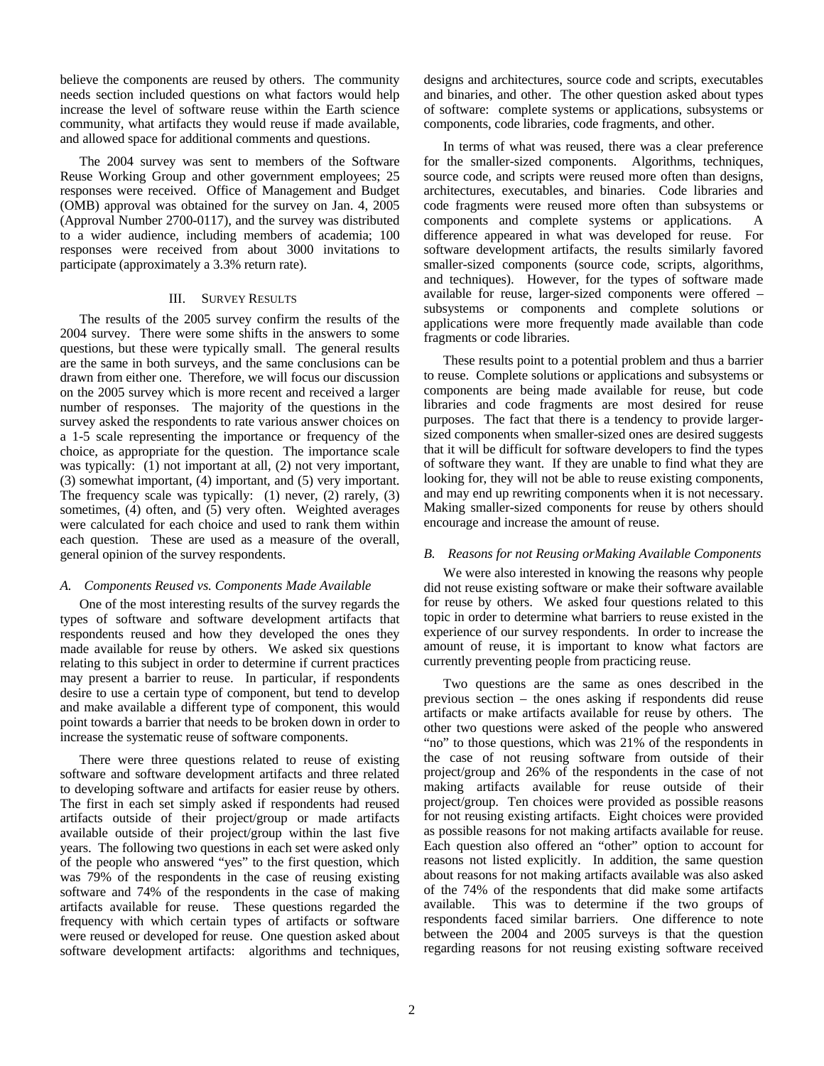believe the components are reused by others. The community needs section included questions on what factors would help increase the level of software reuse within the Earth science community, what artifacts they would reuse if made available, and allowed space for additional comments and questions.

The 2004 survey was sent to members of the Software Reuse Working Group and other government employees; 25 responses were received. Office of Management and Budget (OMB) approval was obtained for the survey on Jan. 4, 2005 (Approval Number 2700-0117), and the survey was distributed to a wider audience, including members of academia; 100 responses were received from about 3000 invitations to participate (approximately a 3.3% return rate).

#### III. SURVEY RESULTS

The results of the 2005 survey confirm the results of the 2004 survey. There were some shifts in the answers to some questions, but these were typically small. The general results are the same in both surveys, and the same conclusions can be drawn from either one. Therefore, we will focus our discussion on the 2005 survey which is more recent and received a larger number of responses. The majority of the questions in the survey asked the respondents to rate various answer choices on a 1-5 scale representing the importance or frequency of the choice, as appropriate for the question. The importance scale was typically: (1) not important at all, (2) not very important, (3) somewhat important, (4) important, and (5) very important. The frequency scale was typically: (1) never, (2) rarely, (3) sometimes, (4) often, and (5) very often. Weighted averages were calculated for each choice and used to rank them within each question. These are used as a measure of the overall, general opinion of the survey respondents.

# *A. Components Reused vs. Components Made Available*

One of the most interesting results of the survey regards the types of software and software development artifacts that respondents reused and how they developed the ones they made available for reuse by others. We asked six questions relating to this subject in order to determine if current practices may present a barrier to reuse. In particular, if respondents desire to use a certain type of component, but tend to develop and make available a different type of component, this would point towards a barrier that needs to be broken down in order to increase the systematic reuse of software components.

There were three questions related to reuse of existing software and software development artifacts and three related to developing software and artifacts for easier reuse by others. The first in each set simply asked if respondents had reused artifacts outside of their project/group or made artifacts available outside of their project/group within the last five years. The following two questions in each set were asked only of the people who answered "yes" to the first question, which was 79% of the respondents in the case of reusing existing software and 74% of the respondents in the case of making artifacts available for reuse. These questions regarded the frequency with which certain types of artifacts or software were reused or developed for reuse. One question asked about software development artifacts: algorithms and techniques,

designs and architectures, source code and scripts, executables and binaries, and other. The other question asked about types of software: complete systems or applications, subsystems or components, code libraries, code fragments, and other.

In terms of what was reused, there was a clear preference for the smaller-sized components. Algorithms, techniques, source code, and scripts were reused more often than designs, architectures, executables, and binaries. Code libraries and code fragments were reused more often than subsystems or components and complete systems or applications. A difference appeared in what was developed for reuse. For software development artifacts, the results similarly favored smaller-sized components (source code, scripts, algorithms, and techniques). However, for the types of software made available for reuse, larger-sized components were offered – subsystems or components and complete solutions or applications were more frequently made available than code fragments or code libraries.

These results point to a potential problem and thus a barrier to reuse. Complete solutions or applications and subsystems or components are being made available for reuse, but code libraries and code fragments are most desired for reuse purposes. The fact that there is a tendency to provide largersized components when smaller-sized ones are desired suggests that it will be difficult for software developers to find the types of software they want. If they are unable to find what they are looking for, they will not be able to reuse existing components, and may end up rewriting components when it is not necessary. Making smaller-sized components for reuse by others should encourage and increase the amount of reuse.

#### *B. Reasons for not Reusing orMaking Available Components*

We were also interested in knowing the reasons why people did not reuse existing software or make their software available for reuse by others. We asked four questions related to this topic in order to determine what barriers to reuse existed in the experience of our survey respondents. In order to increase the amount of reuse, it is important to know what factors are currently preventing people from practicing reuse.

Two questions are the same as ones described in the previous section – the ones asking if respondents did reuse artifacts or make artifacts available for reuse by others. The other two questions were asked of the people who answered "no" to those questions, which was 21% of the respondents in the case of not reusing software from outside of their project/group and 26% of the respondents in the case of not making artifacts available for reuse outside of their project/group. Ten choices were provided as possible reasons for not reusing existing artifacts. Eight choices were provided as possible reasons for not making artifacts available for reuse. Each question also offered an "other" option to account for reasons not listed explicitly. In addition, the same question about reasons for not making artifacts available was also asked of the 74% of the respondents that did make some artifacts available. This was to determine if the two groups of respondents faced similar barriers. One difference to note between the 2004 and 2005 surveys is that the question regarding reasons for not reusing existing software received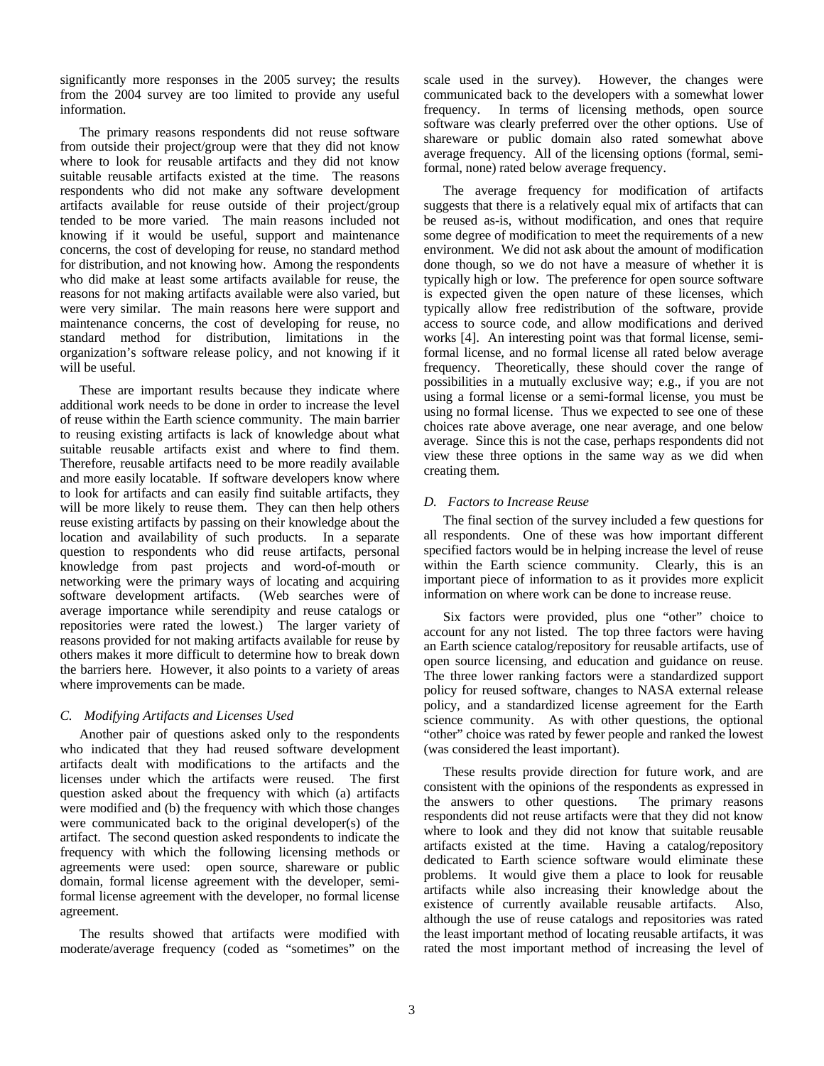significantly more responses in the 2005 survey; the results from the 2004 survey are too limited to provide any useful information.

The primary reasons respondents did not reuse software from outside their project/group were that they did not know where to look for reusable artifacts and they did not know suitable reusable artifacts existed at the time. The reasons respondents who did not make any software development artifacts available for reuse outside of their project/group tended to be more varied. The main reasons included not knowing if it would be useful, support and maintenance concerns, the cost of developing for reuse, no standard method for distribution, and not knowing how. Among the respondents who did make at least some artifacts available for reuse, the reasons for not making artifacts available were also varied, but were very similar. The main reasons here were support and maintenance concerns, the cost of developing for reuse, no standard method for distribution, limitations in the organization's software release policy, and not knowing if it will be useful.

These are important results because they indicate where additional work needs to be done in order to increase the level of reuse within the Earth science community. The main barrier to reusing existing artifacts is lack of knowledge about what suitable reusable artifacts exist and where to find them. Therefore, reusable artifacts need to be more readily available and more easily locatable. If software developers know where to look for artifacts and can easily find suitable artifacts, they will be more likely to reuse them. They can then help others reuse existing artifacts by passing on their knowledge about the location and availability of such products. In a separate question to respondents who did reuse artifacts, personal knowledge from past projects and word-of-mouth or networking were the primary ways of locating and acquiring software development artifacts. (Web searches were of average importance while serendipity and reuse catalogs or repositories were rated the lowest.) The larger variety of reasons provided for not making artifacts available for reuse by others makes it more difficult to determine how to break down the barriers here. However, it also points to a variety of areas where improvements can be made.

# *C. Modifying Artifacts and Licenses Used*

Another pair of questions asked only to the respondents who indicated that they had reused software development artifacts dealt with modifications to the artifacts and the licenses under which the artifacts were reused. The first question asked about the frequency with which (a) artifacts were modified and (b) the frequency with which those changes were communicated back to the original developer(s) of the artifact. The second question asked respondents to indicate the frequency with which the following licensing methods or agreements were used: open source, shareware or public domain, formal license agreement with the developer, semiformal license agreement with the developer, no formal license agreement.

The results showed that artifacts were modified with moderate/average frequency (coded as "sometimes" on the

scale used in the survey). However, the changes were communicated back to the developers with a somewhat lower frequency. In terms of licensing methods, open source software was clearly preferred over the other options. Use of shareware or public domain also rated somewhat above average frequency. All of the licensing options (formal, semiformal, none) rated below average frequency.

The average frequency for modification of artifacts suggests that there is a relatively equal mix of artifacts that can be reused as-is, without modification, and ones that require some degree of modification to meet the requirements of a new environment. We did not ask about the amount of modification done though, so we do not have a measure of whether it is typically high or low. The preference for open source software is expected given the open nature of these licenses, which typically allow free redistribution of the software, provide access to source code, and allow modifications and derived works [4]. An interesting point was that formal license, semiformal license, and no formal license all rated below average frequency. Theoretically, these should cover the range of possibilities in a mutually exclusive way; e.g., if you are not using a formal license or a semi-formal license, you must be using no formal license. Thus we expected to see one of these choices rate above average, one near average, and one below average. Since this is not the case, perhaps respondents did not view these three options in the same way as we did when creating them.

# *D. Factors to Increase Reuse*

The final section of the survey included a few questions for all respondents. One of these was how important different specified factors would be in helping increase the level of reuse within the Earth science community. Clearly, this is an important piece of information to as it provides more explicit information on where work can be done to increase reuse.

Six factors were provided, plus one "other" choice to account for any not listed. The top three factors were having an Earth science catalog/repository for reusable artifacts, use of open source licensing, and education and guidance on reuse. The three lower ranking factors were a standardized support policy for reused software, changes to NASA external release policy, and a standardized license agreement for the Earth science community. As with other questions, the optional "other" choice was rated by fewer people and ranked the lowest (was considered the least important).

These results provide direction for future work, and are consistent with the opinions of the respondents as expressed in the answers to other questions. The primary reasons the answers to other questions. respondents did not reuse artifacts were that they did not know where to look and they did not know that suitable reusable artifacts existed at the time. Having a catalog/repository dedicated to Earth science software would eliminate these problems. It would give them a place to look for reusable artifacts while also increasing their knowledge about the existence of currently available reusable artifacts. Also, although the use of reuse catalogs and repositories was rated the least important method of locating reusable artifacts, it was rated the most important method of increasing the level of